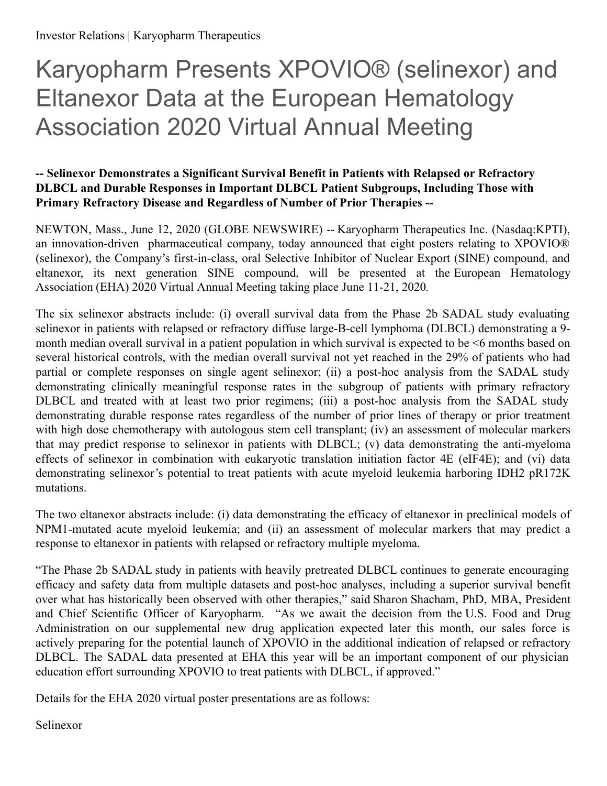# Karyopharm Presents XPOVIO® (selinexor) and Eltanexor Data at the European Hematology Association 2020 Virtual Annual Meeting

## **-- Selinexor Demonstrates a Significant Survival Benefit in Patients with Relapsed or Refractory DLBCL and Durable Responses in Important DLBCL Patient Subgroups, Including Those with Primary Refractory Disease and Regardless of Number of Prior Therapies --**

NEWTON, Mass., June 12, 2020 (GLOBE NEWSWIRE) -- Karyopharm Therapeutics Inc. (Nasdaq:KPTI), an innovation-driven pharmaceutical company, today announced that eight posters relating to XPOVIO® (selinexor), the Company's first-in-class, oral Selective Inhibitor of Nuclear Export (SINE) compound, and eltanexor, its next generation SINE compound, will be presented at the European Hematology Association (EHA) 2020 Virtual Annual Meeting taking place June 11-21, 2020.

The six selinexor abstracts include: (i) overall survival data from the Phase 2b SADAL study evaluating selinexor in patients with relapsed or refractory diffuse large-B-cell lymphoma (DLBCL) demonstrating a 9 month median overall survival in a patient population in which survival is expected to be <6 months based on several historical controls, with the median overall survival not yet reached in the 29% of patients who had partial or complete responses on single agent selinexor; (ii) a post-hoc analysis from the SADAL study demonstrating clinically meaningful response rates in the subgroup of patients with primary refractory DLBCL and treated with at least two prior regimens; (iii) a post-hoc analysis from the SADAL study demonstrating durable response rates regardless of the number of prior lines of therapy or prior treatment with high dose chemotherapy with autologous stem cell transplant; (iv) an assessment of molecular markers that may predict response to selinexor in patients with DLBCL; (v) data demonstrating the anti-myeloma effects of selinexor in combination with eukaryotic translation initiation factor 4E (eIF4E); and (vi) data demonstrating selinexor's potential to treat patients with acute myeloid leukemia harboring IDH2 pR172K mutations.

The two eltanexor abstracts include: (i) data demonstrating the efficacy of eltanexor in preclinical models of NPM1-mutated acute myeloid leukemia; and (ii) an assessment of molecular markers that may predict a response to eltanexor in patients with relapsed or refractory multiple myeloma.

"The Phase 2b SADAL study in patients with heavily pretreated DLBCL continues to generate encouraging efficacy and safety data from multiple datasets and post-hoc analyses, including a superior survival benefit over what has historically been observed with other therapies," said Sharon Shacham, PhD, MBA, President and Chief Scientific Officer of Karyopharm. "As we await the decision from the U.S. Food and Drug Administration on our supplemental new drug application expected later this month, our sales force is actively preparing for the potential launch of XPOVIO in the additional indication of relapsed or refractory DLBCL. The SADAL data presented at EHA this year will be an important component of our physician education effort surrounding XPOVIO to treat patients with DLBCL, if approved."

Details for the EHA 2020 virtual poster presentations are as follows:

Selinexor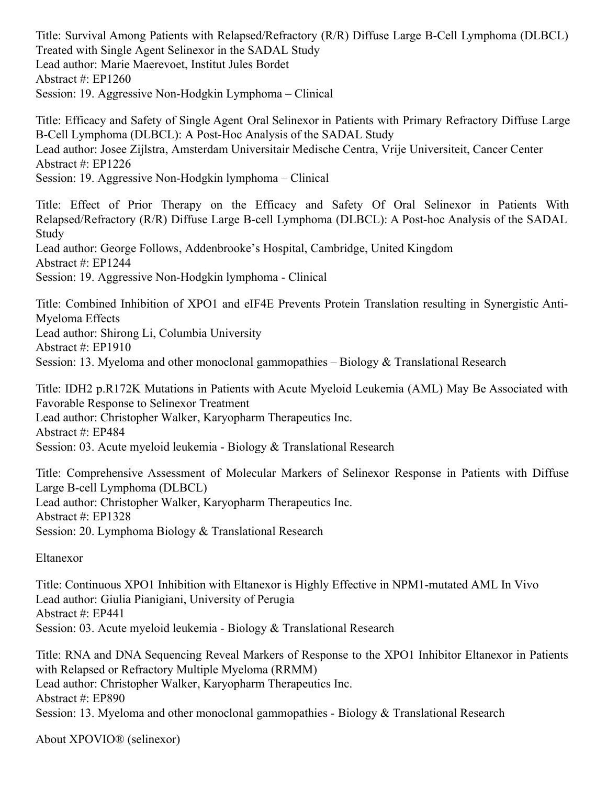Title: Survival Among Patients with Relapsed/Refractory (R/R) Diffuse Large B-Cell Lymphoma (DLBCL) Treated with Single Agent Selinexor in the SADAL Study Lead author: Marie Maerevoet, Institut Jules Bordet Abstract #: EP1260 Session: 19. Aggressive Non-Hodgkin Lymphoma – Clinical

Title: Efficacy and Safety of Single Agent Oral Selinexor in Patients with Primary Refractory Diffuse Large B-Cell Lymphoma (DLBCL): A Post-Hoc Analysis of the SADAL Study Lead author: Josee Zijlstra, Amsterdam Universitair Medische Centra, Vrije Universiteit, Cancer Center Abstract #: EP1226 Session: 19. Aggressive Non-Hodgkin lymphoma – Clinical

Title: Effect of Prior Therapy on the Efficacy and Safety Of Oral Selinexor in Patients With Relapsed/Refractory (R/R) Diffuse Large B-cell Lymphoma (DLBCL): A Post-hoc Analysis of the SADAL Study Lead author: George Follows, Addenbrooke's Hospital, Cambridge, United Kingdom Abstract #: EP1244

Session: 19. Aggressive Non-Hodgkin lymphoma - Clinical

Title: Combined Inhibition of XPO1 and eIF4E Prevents Protein Translation resulting in Synergistic Anti-Myeloma Effects Lead author: Shirong Li, Columbia University Abstract #: EP1910 Session: 13. Myeloma and other monoclonal gammopathies – Biology & Translational Research

Title: IDH2 p.R172K Mutations in Patients with Acute Myeloid Leukemia (AML) May Be Associated with Favorable Response to Selinexor Treatment Lead author: Christopher Walker, Karyopharm Therapeutics Inc. Abstract #: EP484 Session: 03. Acute myeloid leukemia - Biology & Translational Research

Title: Comprehensive Assessment of Molecular Markers of Selinexor Response in Patients with Diffuse Large B-cell Lymphoma (DLBCL) Lead author: Christopher Walker, Karyopharm Therapeutics Inc. Abstract #: EP1328 Session: 20. Lymphoma Biology & Translational Research

Eltanexor

Title: Continuous XPO1 Inhibition with Eltanexor is Highly Effective in NPM1-mutated AML In Vivo Lead author: Giulia Pianigiani, University of Perugia Abstract #: EP441 Session: 03. Acute myeloid leukemia - Biology & Translational Research

Title: RNA and DNA Sequencing Reveal Markers of Response to the XPO1 Inhibitor Eltanexor in Patients with Relapsed or Refractory Multiple Myeloma (RRMM) Lead author: Christopher Walker, Karyopharm Therapeutics Inc. Abstract #: EP890 Session: 13. Myeloma and other monoclonal gammopathies - Biology & Translational Research

About XPOVIO® (selinexor)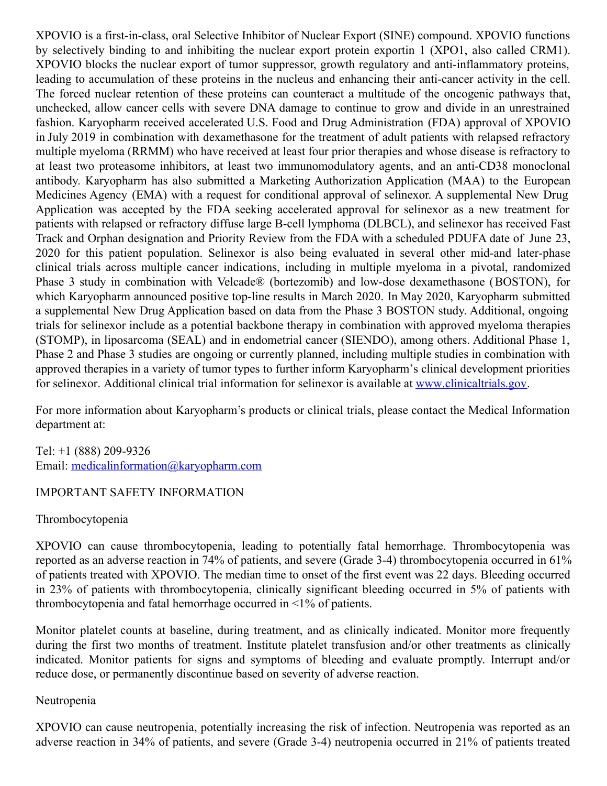XPOVIO is a first-in-class, oral Selective Inhibitor of Nuclear Export (SINE) compound. XPOVIO functions by selectively binding to and inhibiting the nuclear export protein exportin 1 (XPO1, also called CRM1). XPOVIO blocks the nuclear export of tumor suppressor, growth regulatory and anti-inflammatory proteins, leading to accumulation of these proteins in the nucleus and enhancing their anti-cancer activity in the cell. The forced nuclear retention of these proteins can counteract a multitude of the oncogenic pathways that, unchecked, allow cancer cells with severe DNA damage to continue to grow and divide in an unrestrained fashion. Karyopharm received accelerated U.S. Food and Drug Administration (FDA) approval of XPOVIO in July 2019 in combination with dexamethasone for the treatment of adult patients with relapsed refractory multiple myeloma (RRMM) who have received at least four prior therapies and whose disease is refractory to at least two proteasome inhibitors, at least two immunomodulatory agents, and an anti-CD38 monoclonal antibody. Karyopharm has also submitted a Marketing Authorization Application (MAA) to the European Medicines Agency (EMA) with a request for conditional approval of selinexor. A supplemental New Drug Application was accepted by the FDA seeking accelerated approval for selinexor as a new treatment for patients with relapsed or refractory diffuse large B-cell lymphoma (DLBCL), and selinexor has received Fast Track and Orphan designation and Priority Review from the FDA with a scheduled PDUFA date of June 23, 2020 for this patient population. Selinexor is also being evaluated in several other mid-and later-phase clinical trials across multiple cancer indications, including in multiple myeloma in a pivotal, randomized Phase 3 study in combination with Velcade® (bortezomib) and low-dose dexamethasone (BOSTON), for which Karyopharm announced positive top-line results in March 2020. In May 2020, Karyopharm submitted a supplemental New Drug Application based on data from the Phase 3 BOSTON study. Additional, ongoing trials for selinexor include as a potential backbone therapy in combination with approved myeloma therapies (STOMP), in liposarcoma (SEAL) and in endometrial cancer (SIENDO), among others. Additional Phase 1, Phase 2 and Phase 3 studies are ongoing or currently planned, including multiple studies in combination with approved therapies in a variety of tumor types to further inform Karyopharm's clinical development priorities for selinexor. Additional clinical trial information for selinexor is available at [www.clinicaltrials.gov](http://www.clinicaltrials.gov/).

For more information about Karyopharm's products or clinical trials, please contact the Medical Information department at:

Tel: +1 (888) 209-9326 Email: [medicalinformation@karyopharm.com](https://www.globenewswire.com/Tracker?data=pkJPrQSlRv1fmFsftSyEK42VdsmXSiBNiD0G69vTcIxeHHYfTj7BuQ5vSYu5L_587Ii-uUYlLLi4to0xTWtjKvro1fMibH3dfjvMDSQxvvUbrXbKudpFgBfm5aqqyq_z)

#### IMPORTANT SAFETY INFORMATION

#### Thrombocytopenia

XPOVIO can cause thrombocytopenia, leading to potentially fatal hemorrhage. Thrombocytopenia was reported as an adverse reaction in 74% of patients, and severe (Grade 3-4) thrombocytopenia occurred in 61% of patients treated with XPOVIO. The median time to onset of the first event was 22 days. Bleeding occurred in 23% of patients with thrombocytopenia, clinically significant bleeding occurred in 5% of patients with thrombocytopenia and fatal hemorrhage occurred in <1% of patients.

Monitor platelet counts at baseline, during treatment, and as clinically indicated. Monitor more frequently during the first two months of treatment. Institute platelet transfusion and/or other treatments as clinically indicated. Monitor patients for signs and symptoms of bleeding and evaluate promptly. Interrupt and/or reduce dose, or permanently discontinue based on severity of adverse reaction.

#### Neutropenia

XPOVIO can cause neutropenia, potentially increasing the risk of infection. Neutropenia was reported as an adverse reaction in 34% of patients, and severe (Grade 3-4) neutropenia occurred in 21% of patients treated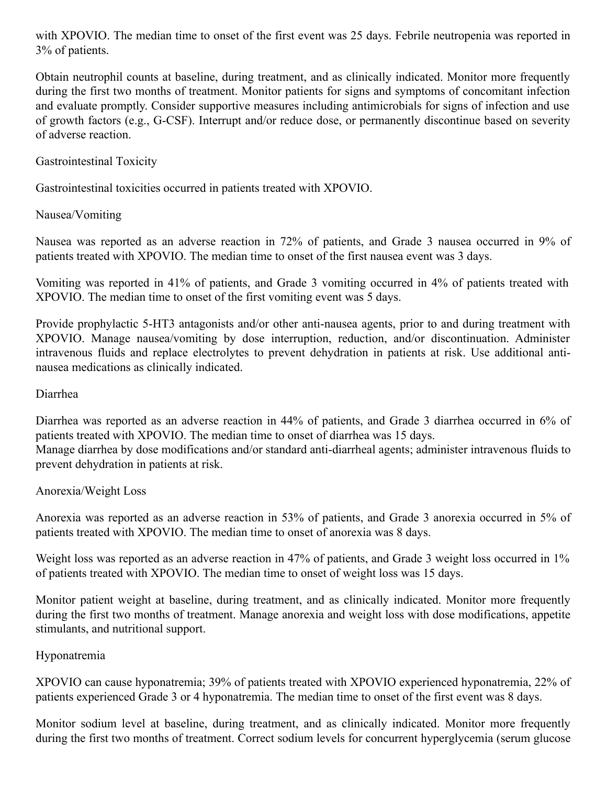with XPOVIO. The median time to onset of the first event was 25 days. Febrile neutropenia was reported in 3% of patients.

Obtain neutrophil counts at baseline, during treatment, and as clinically indicated. Monitor more frequently during the first two months of treatment. Monitor patients for signs and symptoms of concomitant infection and evaluate promptly. Consider supportive measures including antimicrobials for signs of infection and use of growth factors (e.g., G-CSF). Interrupt and/or reduce dose, or permanently discontinue based on severity of adverse reaction.

Gastrointestinal Toxicity

Gastrointestinal toxicities occurred in patients treated with XPOVIO.

Nausea/Vomiting

Nausea was reported as an adverse reaction in 72% of patients, and Grade 3 nausea occurred in 9% of patients treated with XPOVIO. The median time to onset of the first nausea event was 3 days.

Vomiting was reported in 41% of patients, and Grade 3 vomiting occurred in 4% of patients treated with XPOVIO. The median time to onset of the first vomiting event was 5 days.

Provide prophylactic 5-HT3 antagonists and/or other anti-nausea agents, prior to and during treatment with XPOVIO. Manage nausea/vomiting by dose interruption, reduction, and/or discontinuation. Administer intravenous fluids and replace electrolytes to prevent dehydration in patients at risk. Use additional antinausea medications as clinically indicated.

#### Diarrhea

Diarrhea was reported as an adverse reaction in 44% of patients, and Grade 3 diarrhea occurred in 6% of patients treated with XPOVIO. The median time to onset of diarrhea was 15 days. Manage diarrhea by dose modifications and/or standard anti-diarrheal agents; administer intravenous fluids to prevent dehydration in patients at risk.

#### Anorexia/Weight Loss

Anorexia was reported as an adverse reaction in 53% of patients, and Grade 3 anorexia occurred in 5% of patients treated with XPOVIO. The median time to onset of anorexia was 8 days.

Weight loss was reported as an adverse reaction in 47% of patients, and Grade 3 weight loss occurred in 1% of patients treated with XPOVIO. The median time to onset of weight loss was 15 days.

Monitor patient weight at baseline, during treatment, and as clinically indicated. Monitor more frequently during the first two months of treatment. Manage anorexia and weight loss with dose modifications, appetite stimulants, and nutritional support.

#### Hyponatremia

XPOVIO can cause hyponatremia; 39% of patients treated with XPOVIO experienced hyponatremia, 22% of patients experienced Grade 3 or 4 hyponatremia. The median time to onset of the first event was 8 days.

Monitor sodium level at baseline, during treatment, and as clinically indicated. Monitor more frequently during the first two months of treatment. Correct sodium levels for concurrent hyperglycemia (serum glucose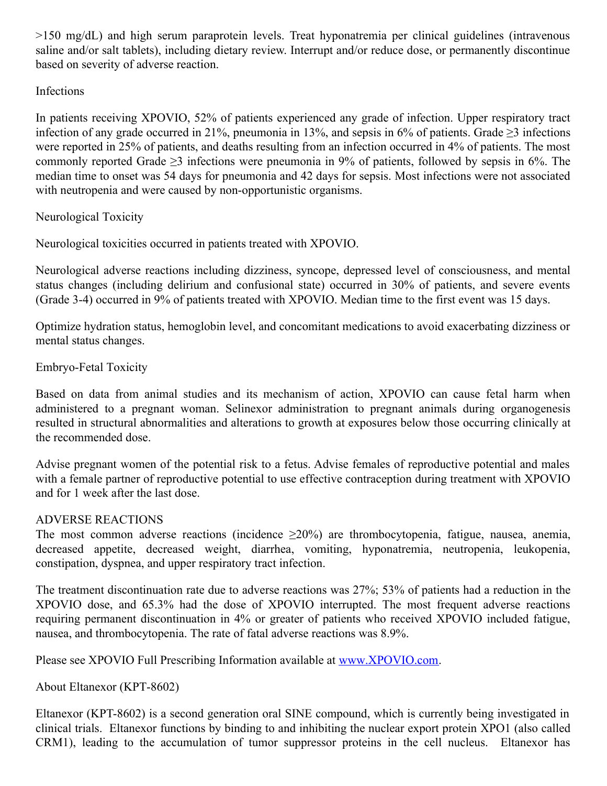>150 mg/dL) and high serum paraprotein levels. Treat hyponatremia per clinical guidelines (intravenous saline and/or salt tablets), including dietary review. Interrupt and/or reduce dose, or permanently discontinue based on severity of adverse reaction.

## Infections

In patients receiving XPOVIO, 52% of patients experienced any grade of infection. Upper respiratory tract infection of any grade occurred in 21%, pneumonia in 13%, and sepsis in 6% of patients. Grade ≥3 infections were reported in 25% of patients, and deaths resulting from an infection occurred in 4% of patients. The most commonly reported Grade  $\geq$ 3 infections were pneumonia in 9% of patients, followed by sepsis in 6%. The median time to onset was 54 days for pneumonia and 42 days for sepsis. Most infections were not associated with neutropenia and were caused by non-opportunistic organisms.

Neurological Toxicity

Neurological toxicities occurred in patients treated with XPOVIO.

Neurological adverse reactions including dizziness, syncope, depressed level of consciousness, and mental status changes (including delirium and confusional state) occurred in 30% of patients, and severe events (Grade 3-4) occurred in 9% of patients treated with XPOVIO. Median time to the first event was 15 days.

Optimize hydration status, hemoglobin level, and concomitant medications to avoid exacerbating dizziness or mental status changes.

Embryo-Fetal Toxicity

Based on data from animal studies and its mechanism of action, XPOVIO can cause fetal harm when administered to a pregnant woman. Selinexor administration to pregnant animals during organogenesis resulted in structural abnormalities and alterations to growth at exposures below those occurring clinically at the recommended dose.

Advise pregnant women of the potential risk to a fetus. Advise females of reproductive potential and males with a female partner of reproductive potential to use effective contraception during treatment with XPOVIO and for 1 week after the last dose.

#### ADVERSE REACTIONS

The most common adverse reactions (incidence  $\geq 20\%$ ) are thrombocytopenia, fatigue, nausea, anemia, decreased appetite, decreased weight, diarrhea, vomiting, hyponatremia, neutropenia, leukopenia, constipation, dyspnea, and upper respiratory tract infection.

The treatment discontinuation rate due to adverse reactions was 27%; 53% of patients had a reduction in the XPOVIO dose, and 65.3% had the dose of XPOVIO interrupted. The most frequent adverse reactions requiring permanent discontinuation in 4% or greater of patients who received XPOVIO included fatigue, nausea, and thrombocytopenia. The rate of fatal adverse reactions was 8.9%.

Please see XPOVIO Full Prescribing Information available at [www.XPOVIO.com](https://www.globenewswire.com/Tracker?data=5wL1xqjkza9yxzLmNUAh0d-pJqQOMRwVvtQ6zisIDE1I3BXJnmypbviSrNaF_1W8e6F94mWYJ6-CnbDtobwBCWnwMglL5hds2-C9nj0M2Z5VfmlKLUhU-dnBqiG1HZfwvXRwSb2ebG4gbsQijHTnuomS5753pjH2q1nvuXuWzkaP2MOqtgkDBrAy_zVof7yxum775dJD9ESrksJW7SB92EyrZW6IzEmvZE55AV4jpT8=).

About Eltanexor (KPT-8602)

Eltanexor (KPT-8602) is a second generation oral SINE compound, which is currently being investigated in clinical trials. Eltanexor functions by binding to and inhibiting the nuclear export protein XPO1 (also called CRM1), leading to the accumulation of tumor suppressor proteins in the cell nucleus. Eltanexor has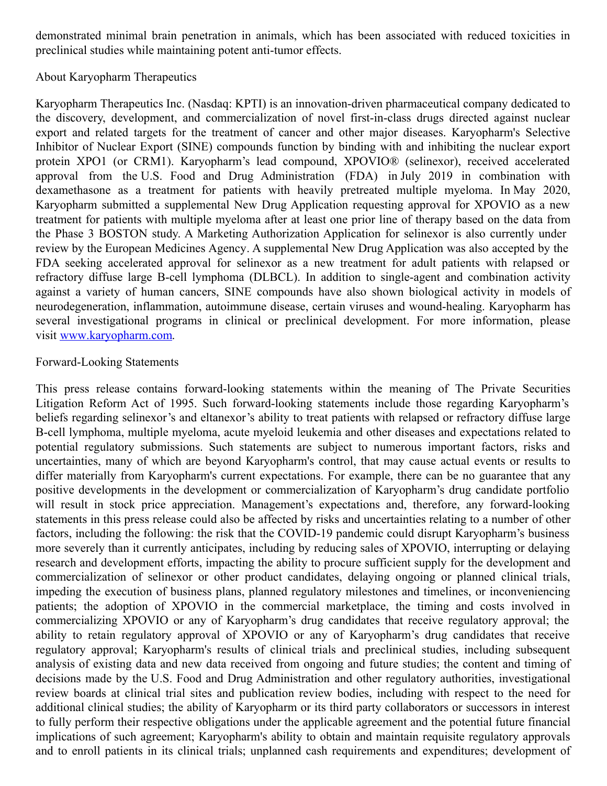demonstrated minimal brain penetration in animals, which has been associated with reduced toxicities in preclinical studies while maintaining potent anti-tumor effects.

### About Karyopharm Therapeutics

Karyopharm Therapeutics Inc. (Nasdaq: KPTI) is an innovation-driven pharmaceutical company dedicated to the discovery, development, and commercialization of novel first-in-class drugs directed against nuclear export and related targets for the treatment of cancer and other major diseases. Karyopharm's Selective Inhibitor of Nuclear Export (SINE) compounds function by binding with and inhibiting the nuclear export protein XPO1 (or CRM1). Karyopharm's lead compound, XPOVIO® (selinexor), received accelerated approval from the U.S. Food and Drug Administration (FDA) in July 2019 in combination with dexamethasone as a treatment for patients with heavily pretreated multiple myeloma. In May 2020, Karyopharm submitted a supplemental New Drug Application requesting approval for XPOVIO as a new treatment for patients with multiple myeloma after at least one prior line of therapy based on the data from the Phase 3 BOSTON study. A Marketing Authorization Application for selinexor is also currently under review by the European Medicines Agency. A supplemental New Drug Application was also accepted by the FDA seeking accelerated approval for selinexor as a new treatment for adult patients with relapsed or refractory diffuse large B-cell lymphoma (DLBCL). In addition to single-agent and combination activity against a variety of human cancers, SINE compounds have also shown biological activity in models of neurodegeneration, inflammation, autoimmune disease, certain viruses and wound-healing. Karyopharm has several investigational programs in clinical or preclinical development. For more information, please visit [www.karyopharm.com](https://www.globenewswire.com/Tracker?data=_Zb94Q4BIFMHM9xTetgjaT6l05FYWitl3wOFHc5a2u-3J5o5ZiMdS2CplsBMSY9JAIpNCYMfqshoek8PJMQsF8hDhSSJFWDjCe3xQJQOBtA=).

#### Forward-Looking Statements

This press release contains forward-looking statements within the meaning of The Private Securities Litigation Reform Act of 1995. Such forward-looking statements include those regarding Karyopharm's beliefs regarding selinexor's and eltanexor's ability to treat patients with relapsed or refractory diffuse large B-cell lymphoma, multiple myeloma, acute myeloid leukemia and other diseases and expectations related to potential regulatory submissions. Such statements are subject to numerous important factors, risks and uncertainties, many of which are beyond Karyopharm's control, that may cause actual events or results to differ materially from Karyopharm's current expectations. For example, there can be no guarantee that any positive developments in the development or commercialization of Karyopharm's drug candidate portfolio will result in stock price appreciation. Management's expectations and, therefore, any forward-looking statements in this press release could also be affected by risks and uncertainties relating to a number of other factors, including the following: the risk that the COVID-19 pandemic could disrupt Karyopharm's business more severely than it currently anticipates, including by reducing sales of XPOVIO, interrupting or delaying research and development efforts, impacting the ability to procure sufficient supply for the development and commercialization of selinexor or other product candidates, delaying ongoing or planned clinical trials, impeding the execution of business plans, planned regulatory milestones and timelines, or inconveniencing patients; the adoption of XPOVIO in the commercial marketplace, the timing and costs involved in commercializing XPOVIO or any of Karyopharm's drug candidates that receive regulatory approval; the ability to retain regulatory approval of XPOVIO or any of Karyopharm's drug candidates that receive regulatory approval; Karyopharm's results of clinical trials and preclinical studies, including subsequent analysis of existing data and new data received from ongoing and future studies; the content and timing of decisions made by the U.S. Food and Drug Administration and other regulatory authorities, investigational review boards at clinical trial sites and publication review bodies, including with respect to the need for additional clinical studies; the ability of Karyopharm or its third party collaborators or successors in interest to fully perform their respective obligations under the applicable agreement and the potential future financial implications of such agreement; Karyopharm's ability to obtain and maintain requisite regulatory approvals and to enroll patients in its clinical trials; unplanned cash requirements and expenditures; development of